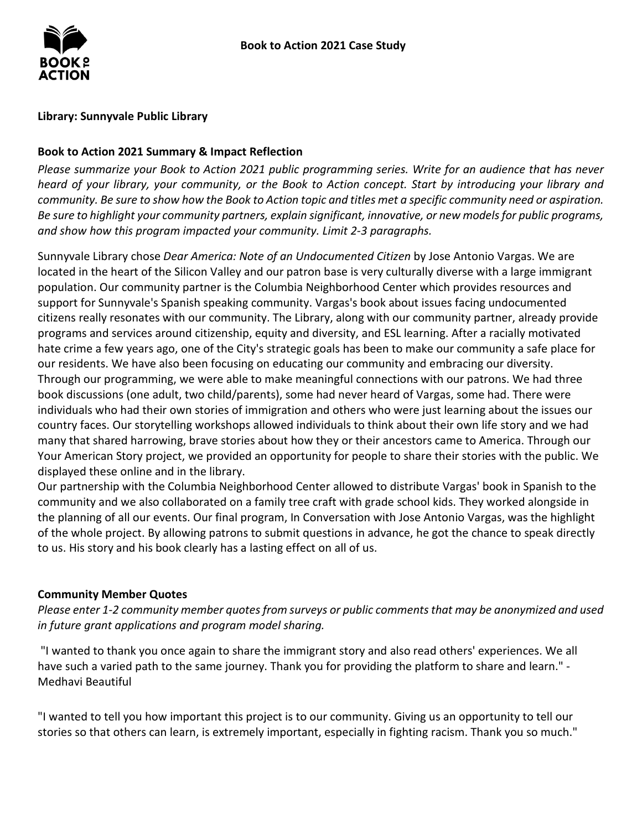### **Library: Sunnyvale Public Library**

## **Book to Action 2021 Summary & Impact Reflection**

*Please summarize your Book to Action 2021 public programming series. Write for an audience that has never heard of your library, your community, or the Book to Action concept. Start by introducing your library and community. Be sure to show how the Book to Action topic and titles met a specific community need or aspiration. Be sure to highlight your community partners, explain significant, innovative, or new models for public programs, and show how this program impacted your community. Limit 2-3 paragraphs.* 

 located in the heart of the Silicon Valley and our patron base is very culturally diverse with a large immigrant citizens really resonates with our community. The Library, along with our community partner, already provide programs and services around citizenship, equity and diversity, and ESL learning. After a racially motivated individuals who had their own stories of immigration and others who were just learning about the issues our country faces. Our storytelling workshops allowed individuals to think about their own life story and we had many that shared harrowing, brave stories about how they or their ancestors came to America. Through our Your American Story project, we provided an opportunity for people to share their stories with the public. We Sunnyvale Library chose *Dear America: Note of an Undocumented Citizen* by Jose Antonio Vargas. We are population. Our community partner is the Columbia Neighborhood Center which provides resources and support for Sunnyvale's Spanish speaking community. Vargas's book about issues facing undocumented hate crime a few years ago, one of the City's strategic goals has been to make our community a safe place for our residents. We have also been focusing on educating our community and embracing our diversity. Through our programming, we were able to make meaningful connections with our patrons. We had three book discussions (one adult, two child/parents), some had never heard of Vargas, some had. There were displayed these online and in the library.

 community and we also collaborated on a family tree craft with grade school kids. They worked alongside in Our partnership with the Columbia Neighborhood Center allowed to distribute Vargas' book in Spanish to the the planning of all our events. Our final program, In Conversation with Jose Antonio Vargas, was the highlight of the whole project. By allowing patrons to submit questions in advance, he got the chance to speak directly to us. His story and his book clearly has a lasting effect on all of us.

# **Community Member Quotes**

*Please enter 1-2 community member quotes from surveys or public comments that may be anonymized and used in future grant applications and program model sharing.* 

 "I wanted to thank you once again to share the immigrant story and also read others' experiences. We all have such a varied path to the same journey. Thank you for providing the platform to share and learn." - Medhavi Beautiful

 "I wanted to tell you how important this project is to our community. Giving us an opportunity to tell our stories so that others can learn, is extremely important, especially in fighting racism. Thank you so much."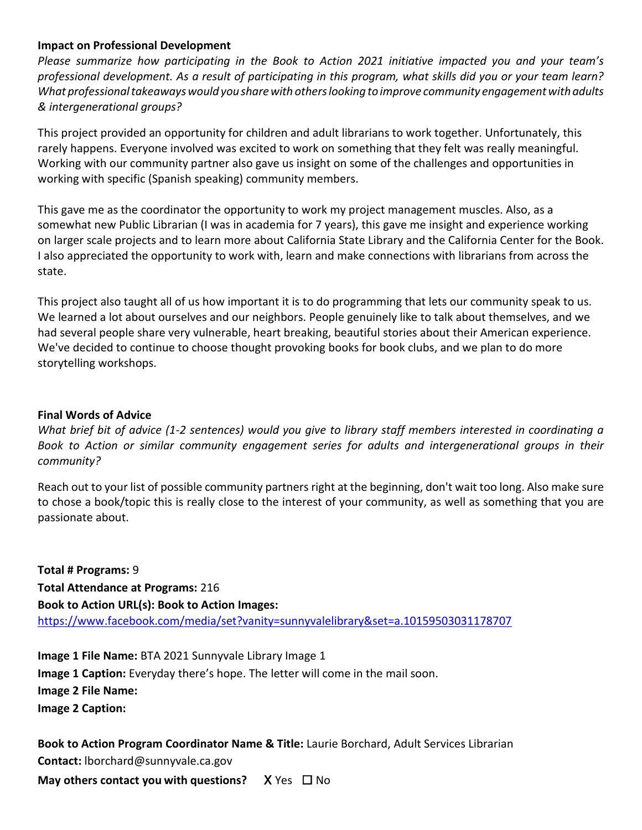#### **Impact on Professional Development**

 *What professional takeaways would you share with others looking to improve community engagement with adults & intergenerational groups? Please summarize how participating in the Book to Action 2021 initiative impacted you and your team's professional development. As a result of participating in this program, what skills did you or your team learn?* 

 This project provided an opportunity for children and adult librarians to work together. Unfortunately, this rarely happens. Everyone involved was excited to work on something that they felt was really meaningful. Working with our community partner also gave us insight on some of the challenges and opportunities in working with specific (Spanish speaking) community members.

 somewhat new Public Librarian (I was in academia for 7 years), this gave me insight and experience working on larger scale projects and to learn more about California State Library and the California Center for the Book. This gave me as the coordinator the opportunity to work my project management muscles. Also, as a I also appreciated the opportunity to work with, learn and make connections with librarians from across the state.

 This project also taught all of us how important it is to do programming that lets our community speak to us. We've decided to continue to choose thought provoking books for book clubs, and we plan to do more We learned a lot about ourselves and our neighbors. People genuinely like to talk about themselves, and we had several people share very vulnerable, heart breaking, beautiful stories about their American experience. storytelling workshops.

## **Final Words of Advice**

*What brief bit of advice (1-2 sentences) would you give to library staff members interested in coordinating a Book to Action or similar community engagement series for adults and intergenerational groups in their community?* 

 to chose a book/topic this is really close to the interest of your community, as well as something that you are Reach out to your list of possible community partners right at the beginning, don't wait too long. Also make sure passionate about.

 **Total # Programs:** 9 **Total Attendance at Programs:** 216 **Book to Action URL(s): Book to Action Images:**  https://www.facebook.com/media/set?vanity=sunnyvalelibrary&set=a.10159503031178707

 **Image 1 Caption:** Everyday there's hope. The letter will come in the mail soon. **Image 2 File Name:**  Image 2 Caption: **Image 2 Caption:**<br>**Book to Action Program Coordinator Name & Title:** Laurie Borchard, Adult Services Librarian **Image 1 File Name:** BTA 2021 Sunnyvale Library Image 1

**Contact:** lborchard@sunnyvale.ca.gov

**May others contact you with questions?** X Yes □ No